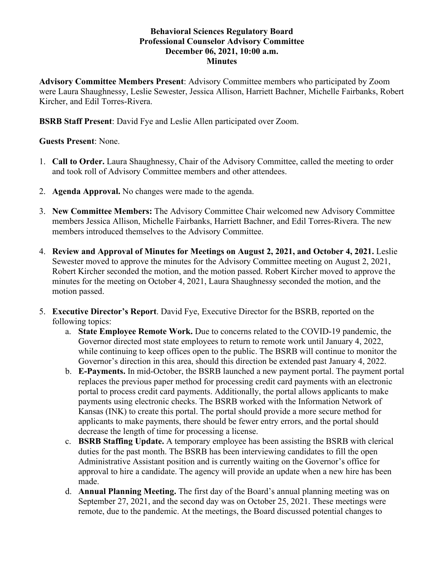## **Behavioral Sciences Regulatory Board Professional Counselor Advisory Committee December 06, 2021, 10:00 a.m. Minutes**

**Advisory Committee Members Present**: Advisory Committee members who participated by Zoom were Laura Shaughnessy, Leslie Sewester, Jessica Allison, Harriett Bachner, Michelle Fairbanks, Robert Kircher, and Edil Torres-Rivera.

**BSRB Staff Present**: David Fye and Leslie Allen participated over Zoom.

# **Guests Present**: None.

- 1. **Call to Order.** Laura Shaughnessy, Chair of the Advisory Committee, called the meeting to order and took roll of Advisory Committee members and other attendees.
- 2. **Agenda Approval.** No changes were made to the agenda.
- 3. **New Committee Members:** The Advisory Committee Chair welcomed new Advisory Committee members Jessica Allison, Michelle Fairbanks, Harriett Bachner, and Edil Torres-Rivera. The new members introduced themselves to the Advisory Committee.
- 4. **Review and Approval of Minutes for Meetings on August 2, 2021, and October 4, 2021.** Leslie Sewester moved to approve the minutes for the Advisory Committee meeting on August 2, 2021, Robert Kircher seconded the motion, and the motion passed. Robert Kircher moved to approve the minutes for the meeting on October 4, 2021, Laura Shaughnessy seconded the motion, and the motion passed.
- 5. **Executive Director's Report**. David Fye, Executive Director for the BSRB, reported on the following topics:
	- a. **State Employee Remote Work.** Due to concerns related to the COVID-19 pandemic, the Governor directed most state employees to return to remote work until January 4, 2022, while continuing to keep offices open to the public. The BSRB will continue to monitor the Governor's direction in this area, should this direction be extended past January 4, 2022.
	- b. **E-Payments.** In mid-October, the BSRB launched a new payment portal. The payment portal replaces the previous paper method for processing credit card payments with an electronic portal to process credit card payments. Additionally, the portal allows applicants to make payments using electronic checks. The BSRB worked with the Information Network of Kansas (INK) to create this portal. The portal should provide a more secure method for applicants to make payments, there should be fewer entry errors, and the portal should decrease the length of time for processing a license.
	- c. **BSRB Staffing Update.** A temporary employee has been assisting the BSRB with clerical duties for the past month. The BSRB has been interviewing candidates to fill the open Administrative Assistant position and is currently waiting on the Governor's office for approval to hire a candidate. The agency will provide an update when a new hire has been made.
	- d. **Annual Planning Meeting.** The first day of the Board's annual planning meeting was on September 27, 2021, and the second day was on October 25, 2021. These meetings were remote, due to the pandemic. At the meetings, the Board discussed potential changes to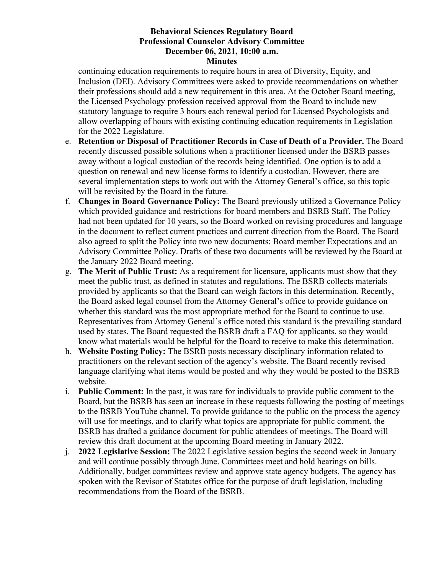# **Behavioral Sciences Regulatory Board Professional Counselor Advisory Committee December 06, 2021, 10:00 a.m.**

#### **Minutes**

continuing education requirements to require hours in area of Diversity, Equity, and Inclusion (DEI). Advisory Committees were asked to provide recommendations on whether their professions should add a new requirement in this area. At the October Board meeting, the Licensed Psychology profession received approval from the Board to include new statutory language to require 3 hours each renewal period for Licensed Psychologists and allow overlapping of hours with existing continuing education requirements in Legislation for the 2022 Legislature.

- e. **Retention or Disposal of Practitioner Records in Case of Death of a Provider.** The Board recently discussed possible solutions when a practitioner licensed under the BSRB passes away without a logical custodian of the records being identified. One option is to add a question on renewal and new license forms to identify a custodian. However, there are several implementation steps to work out with the Attorney General's office, so this topic will be revisited by the Board in the future.
- f. **Changes in Board Governance Policy:** The Board previously utilized a Governance Policy which provided guidance and restrictions for board members and BSRB Staff. The Policy had not been updated for 10 years, so the Board worked on revising procedures and language in the document to reflect current practices and current direction from the Board. The Board also agreed to split the Policy into two new documents: Board member Expectations and an Advisory Committee Policy. Drafts of these two documents will be reviewed by the Board at the January 2022 Board meeting.
- g. **The Merit of Public Trust:** As a requirement for licensure, applicants must show that they meet the public trust, as defined in statutes and regulations. The BSRB collects materials provided by applicants so that the Board can weigh factors in this determination. Recently, the Board asked legal counsel from the Attorney General's office to provide guidance on whether this standard was the most appropriate method for the Board to continue to use. Representatives from Attorney General's office noted this standard is the prevailing standard used by states. The Board requested the BSRB draft a FAQ for applicants, so they would know what materials would be helpful for the Board to receive to make this determination.
- h. **Website Posting Policy:** The BSRB posts necessary disciplinary information related to practitioners on the relevant section of the agency's website. The Board recently revised language clarifying what items would be posted and why they would be posted to the BSRB website.
- i. **Public Comment:** In the past, it was rare for individuals to provide public comment to the Board, but the BSRB has seen an increase in these requests following the posting of meetings to the BSRB YouTube channel. To provide guidance to the public on the process the agency will use for meetings, and to clarify what topics are appropriate for public comment, the BSRB has drafted a guidance document for public attendees of meetings. The Board will review this draft document at the upcoming Board meeting in January 2022.
- j. **2022 Legislative Session:** The 2022 Legislative session begins the second week in January and will continue possibly through June. Committees meet and hold hearings on bills. Additionally, budget committees review and approve state agency budgets. The agency has spoken with the Revisor of Statutes office for the purpose of draft legislation, including recommendations from the Board of the BSRB.